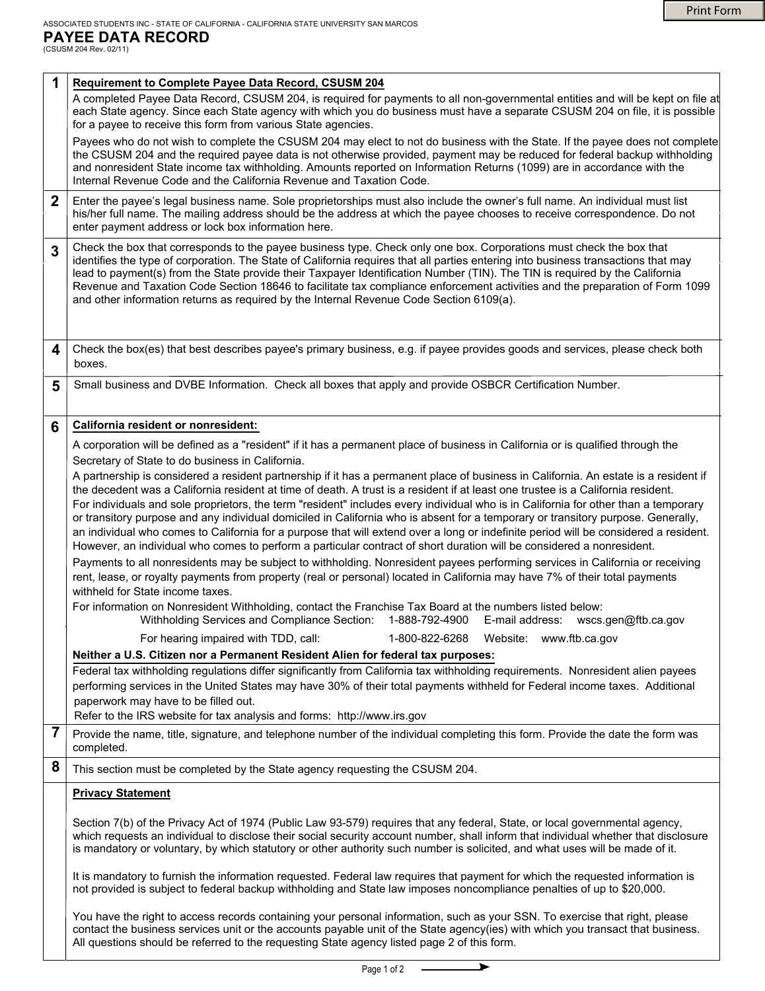**6**

| 1                       | Requirement to Complete Payee Data Record, CSUSM 204<br>A completed Payee Data Record, CSUSM 204, is required for payments to all non-governmental entities and will be kept on file at<br>each State agency. Since each State agency with which you do business must have a separate CSUSM 204 on file, it is possible<br>for a payee to receive this form from various State agencies.                                                                                                                                                                                                                                                                                                                                                                                                                                                                                                                                                                                                                                                                                                                                 |  |  |  |  |  |  |
|-------------------------|--------------------------------------------------------------------------------------------------------------------------------------------------------------------------------------------------------------------------------------------------------------------------------------------------------------------------------------------------------------------------------------------------------------------------------------------------------------------------------------------------------------------------------------------------------------------------------------------------------------------------------------------------------------------------------------------------------------------------------------------------------------------------------------------------------------------------------------------------------------------------------------------------------------------------------------------------------------------------------------------------------------------------------------------------------------------------------------------------------------------------|--|--|--|--|--|--|
|                         | Payees who do not wish to complete the CSUSM 204 may elect to not do business with the State. If the payee does not complete<br>the CSUSM 204 and the required payee data is not otherwise provided, payment may be reduced for federal backup withholding<br>and nonresident State income tax withholding. Amounts reported on Information Returns (1099) are in accordance with the<br>Internal Revenue Code and the California Revenue and Taxation Code.                                                                                                                                                                                                                                                                                                                                                                                                                                                                                                                                                                                                                                                             |  |  |  |  |  |  |
| $\mathbf 2$             | Enter the payee's legal business name. Sole proprietorships must also include the owner's full name. An individual must list<br>his/her full name. The mailing address should be the address at which the payee chooses to receive correspondence. Do not<br>enter payment address or lock box information here.                                                                                                                                                                                                                                                                                                                                                                                                                                                                                                                                                                                                                                                                                                                                                                                                         |  |  |  |  |  |  |
| $\overline{\mathbf{3}}$ | Check the box that corresponds to the payee business type. Check only one box. Corporations must check the box that<br>identifies the type of corporation. The State of California requires that all parties entering into business transactions that may<br>lead to payment(s) from the State provide their Taxpayer Identification Number (TIN). The TIN is required by the California<br>Revenue and Taxation Code Section 18646 to facilitate tax compliance enforcement activities and the preparation of Form 1099<br>and other information returns as required by the Internal Revenue Code Section 6109(a).                                                                                                                                                                                                                                                                                                                                                                                                                                                                                                      |  |  |  |  |  |  |
| 4                       | Check the box(es) that best describes payee's primary business, e.g. if payee provides goods and services, please check both<br>boxes.                                                                                                                                                                                                                                                                                                                                                                                                                                                                                                                                                                                                                                                                                                                                                                                                                                                                                                                                                                                   |  |  |  |  |  |  |
| 5                       | Small business and DVBE Information. Check all boxes that apply and provide OSBCR Certification Number.                                                                                                                                                                                                                                                                                                                                                                                                                                                                                                                                                                                                                                                                                                                                                                                                                                                                                                                                                                                                                  |  |  |  |  |  |  |
| 6                       | California resident or nonresident:                                                                                                                                                                                                                                                                                                                                                                                                                                                                                                                                                                                                                                                                                                                                                                                                                                                                                                                                                                                                                                                                                      |  |  |  |  |  |  |
|                         | A corporation will be defined as a "resident" if it has a permanent place of business in California or is qualified through the                                                                                                                                                                                                                                                                                                                                                                                                                                                                                                                                                                                                                                                                                                                                                                                                                                                                                                                                                                                          |  |  |  |  |  |  |
|                         | Secretary of State to do business in California.                                                                                                                                                                                                                                                                                                                                                                                                                                                                                                                                                                                                                                                                                                                                                                                                                                                                                                                                                                                                                                                                         |  |  |  |  |  |  |
|                         | A partnership is considered a resident partnership if it has a permanent place of business in California. An estate is a resident if<br>the decedent was a California resident at time of death. A trust is a resident if at least one trustee is a California resident.<br>For individuals and sole proprietors, the term "resident" includes every individual who is in California for other than a temporary<br>or transitory purpose and any individual domiciled in California who is absent for a temporary or transitory purpose. Generally,<br>an individual who comes to California for a purpose that will extend over a long or indefinite period will be considered a resident.<br>However, an individual who comes to perform a particular contract of short duration will be considered a nonresident.<br>Payments to all nonresidents may be subject to withholding. Nonresident payees performing services in California or receiving<br>rent, lease, or royalty payments from property (real or personal) located in California may have 7% of their total payments<br>withheld for State income taxes. |  |  |  |  |  |  |
|                         | For information on Nonresident Withholding, contact the Franchise Tax Board at the numbers listed below:<br>Withholding Services and Compliance Section: 1-888-792-4900<br>E-mail address: wscs.gen@ftb.ca.gov                                                                                                                                                                                                                                                                                                                                                                                                                                                                                                                                                                                                                                                                                                                                                                                                                                                                                                           |  |  |  |  |  |  |
|                         | For hearing impaired with TDD, call:<br>1-800-822-6268<br>Website: www.ftb.ca.gov                                                                                                                                                                                                                                                                                                                                                                                                                                                                                                                                                                                                                                                                                                                                                                                                                                                                                                                                                                                                                                        |  |  |  |  |  |  |
|                         | Neither a U.S. Citizen nor a Permanent Resident Alien for federal tax purposes:                                                                                                                                                                                                                                                                                                                                                                                                                                                                                                                                                                                                                                                                                                                                                                                                                                                                                                                                                                                                                                          |  |  |  |  |  |  |
|                         | Federal tax withholding regulations differ significantly from California tax withholding requirements. Nonresident alien payees<br>performing services in the United States may have 30% of their total payments withheld for Federal income taxes. Additional<br>paperwork may have to be filled out.<br>Refer to the IRS website for tax analysis and forms: http://www.irs.gov                                                                                                                                                                                                                                                                                                                                                                                                                                                                                                                                                                                                                                                                                                                                        |  |  |  |  |  |  |
| $\overline{7}$          | Provide the name, title, signature, and telephone number of the individual completing this form. Provide the date the form was<br>completed.                                                                                                                                                                                                                                                                                                                                                                                                                                                                                                                                                                                                                                                                                                                                                                                                                                                                                                                                                                             |  |  |  |  |  |  |
| 8                       | This section must be completed by the State agency requesting the CSUSM 204.                                                                                                                                                                                                                                                                                                                                                                                                                                                                                                                                                                                                                                                                                                                                                                                                                                                                                                                                                                                                                                             |  |  |  |  |  |  |
|                         | <b>Privacy Statement</b>                                                                                                                                                                                                                                                                                                                                                                                                                                                                                                                                                                                                                                                                                                                                                                                                                                                                                                                                                                                                                                                                                                 |  |  |  |  |  |  |
|                         |                                                                                                                                                                                                                                                                                                                                                                                                                                                                                                                                                                                                                                                                                                                                                                                                                                                                                                                                                                                                                                                                                                                          |  |  |  |  |  |  |
|                         | Section 7(b) of the Privacy Act of 1974 (Public Law 93-579) requires that any federal, State, or local governmental agency,<br>which requests an individual to disclose their social security account number, shall inform that individual whether that disclosure<br>is mandatory or voluntary, by which statutory or other authority such number is solicited, and what uses will be made of it.                                                                                                                                                                                                                                                                                                                                                                                                                                                                                                                                                                                                                                                                                                                       |  |  |  |  |  |  |
|                         | It is mandatory to furnish the information requested. Federal law requires that payment for which the requested information is<br>not provided is subject to federal backup withholding and State law imposes noncompliance penalties of up to \$20,000.                                                                                                                                                                                                                                                                                                                                                                                                                                                                                                                                                                                                                                                                                                                                                                                                                                                                 |  |  |  |  |  |  |
|                         | You have the right to access records containing your personal information, such as your SSN. To exercise that right, please<br>contact the business services unit or the accounts payable unit of the State agency(ies) with which you transact that business.<br>All questions should be referred to the requesting State agency listed page 2 of this form.                                                                                                                                                                                                                                                                                                                                                                                                                                                                                                                                                                                                                                                                                                                                                            |  |  |  |  |  |  |